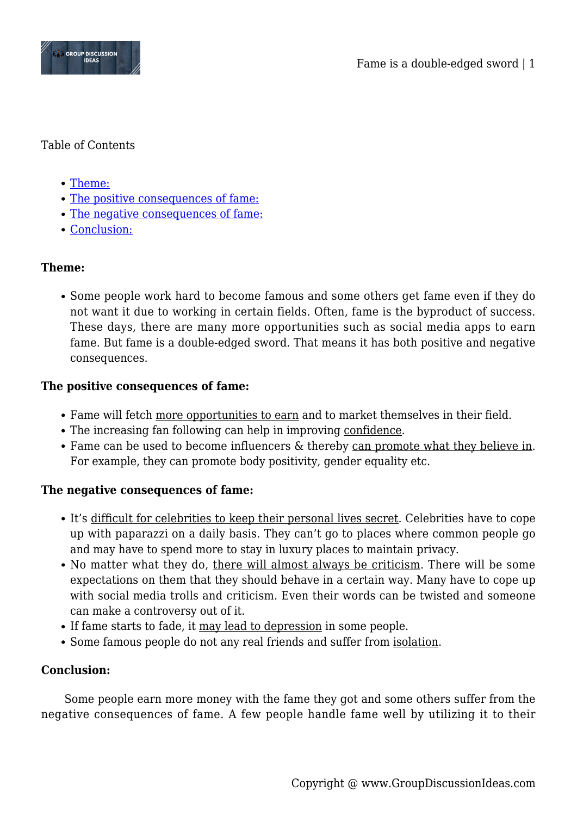

#### Table of Contents

- [Theme:](#page--1-0)
- [The positive consequences of fame:](#page--1-0)
- [The negative consequences of fame:](#page--1-0)
- [Conclusion:](#page--1-0)

# **Theme:**

Some people work hard to become famous and some others get fame even if they do not want it due to working in certain fields. Often, fame is the byproduct of success. These days, there are many more opportunities such as social media apps to earn fame. But fame is a double-edged sword. That means it has both positive and negative consequences.

## **The positive consequences of fame:**

- Fame will fetch more opportunities to earn and to market themselves in their field.
- The increasing fan following can help in improving confidence.
- Fame can be used to become influencers & thereby can promote what they believe in. For example, they can promote body positivity, gender equality etc.

## **The negative consequences of fame:**

- It's difficult for celebrities to keep their personal lives secret. Celebrities have to cope up with paparazzi on a daily basis. They can't go to places where common people go and may have to spend more to stay in luxury places to maintain privacy.
- No matter what they do, there will almost always be criticism. There will be some expectations on them that they should behave in a certain way. Many have to cope up with social media trolls and criticism. Even their words can be twisted and someone can make a controversy out of it.
- If fame starts to fade, it may lead to depression in some people.
- Some famous people do not any real friends and suffer from isolation.

## **Conclusion:**

Some people earn more money with the fame they got and some others suffer from the negative consequences of fame. A few people handle fame well by utilizing it to their